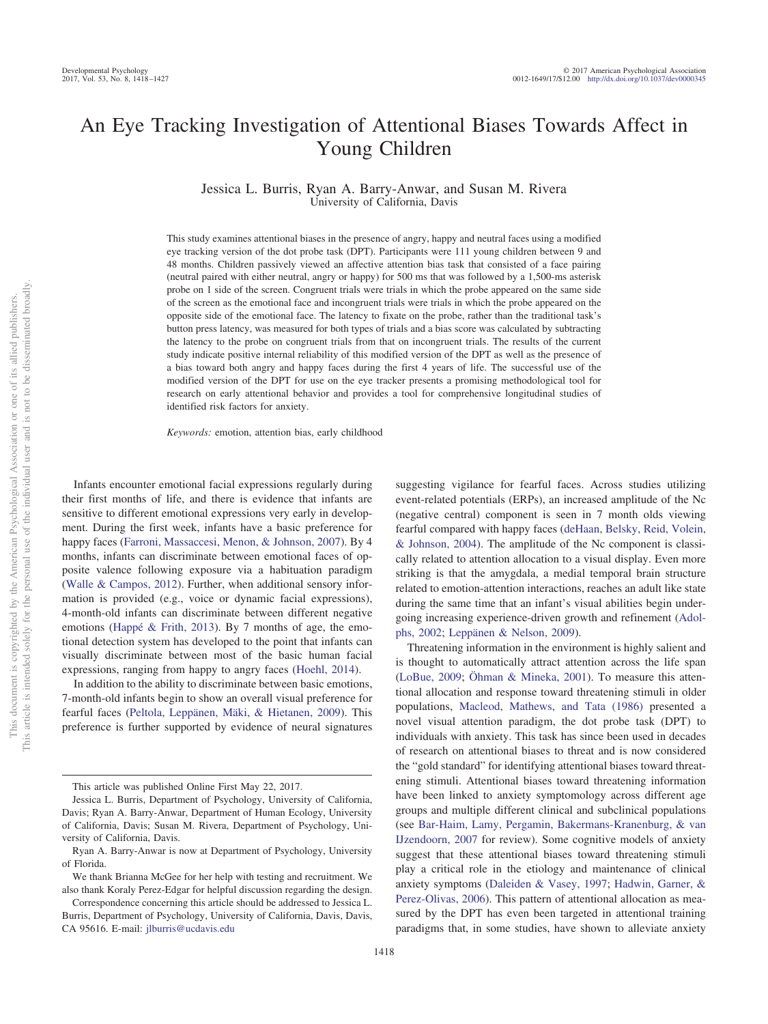# An Eye Tracking Investigation of Attentional Biases Towards Affect in Young Children

Jessica L. Burris, Ryan A. Barry-Anwar, and Susan M. Rivera University of California, Davis

This study examines attentional biases in the presence of angry, happy and neutral faces using a modified eye tracking version of the dot probe task (DPT). Participants were 111 young children between 9 and 48 months. Children passively viewed an affective attention bias task that consisted of a face pairing (neutral paired with either neutral, angry or happy) for 500 ms that was followed by a 1,500-ms asterisk probe on 1 side of the screen. Congruent trials were trials in which the probe appeared on the same side of the screen as the emotional face and incongruent trials were trials in which the probe appeared on the opposite side of the emotional face. The latency to fixate on the probe, rather than the traditional task's button press latency, was measured for both types of trials and a bias score was calculated by subtracting the latency to the probe on congruent trials from that on incongruent trials. The results of the current study indicate positive internal reliability of this modified version of the DPT as well as the presence of a bias toward both angry and happy faces during the first 4 years of life. The successful use of the modified version of the DPT for use on the eye tracker presents a promising methodological tool for research on early attentional behavior and provides a tool for comprehensive longitudinal studies of identified risk factors for anxiety.

*Keywords:* emotion, attention bias, early childhood

Infants encounter emotional facial expressions regularly during their first months of life, and there is evidence that infants are sensitive to different emotional expressions very early in development. During the first week, infants have a basic preference for happy faces [\(Farroni, Massaccesi, Menon, & Johnson, 2007\)](#page-8-0). By 4 months, infants can discriminate between emotional faces of opposite valence following exposure via a habituation paradigm [\(Walle & Campos, 2012\)](#page-9-0). Further, when additional sensory information is provided (e.g., voice or dynamic facial expressions), 4-month-old infants can discriminate between different negative emotions [\(Happé & Frith, 2013\)](#page-8-1). By 7 months of age, the emotional detection system has developed to the point that infants can visually discriminate between most of the basic human facial expressions, ranging from happy to angry faces [\(Hoehl, 2014\)](#page-8-2).

In addition to the ability to discriminate between basic emotions, 7-month-old infants begin to show an overall visual preference for fearful faces [\(Peltola, Leppänen, Mäki, & Hietanen, 2009\)](#page-9-1). This preference is further supported by evidence of neural signatures suggesting vigilance for fearful faces. Across studies utilizing event-related potentials (ERPs), an increased amplitude of the Nc (negative central) component is seen in 7 month olds viewing fearful compared with happy faces [\(deHaan, Belsky, Reid, Volein,](#page-8-3) [& Johnson, 2004\)](#page-8-3). The amplitude of the Nc component is classically related to attention allocation to a visual display. Even more striking is that the amygdala, a medial temporal brain structure related to emotion-attention interactions, reaches an adult like state during the same time that an infant's visual abilities begin undergoing increasing experience-driven growth and refinement [\(Adol](#page-8-4)[phs, 2002;](#page-8-4) [Leppänen & Nelson, 2009\)](#page-9-2).

Threatening information in the environment is highly salient and is thought to automatically attract attention across the life span [\(LoBue, 2009;](#page-9-3) [Öhman & Mineka, 2001\)](#page-9-4). To measure this attentional allocation and response toward threatening stimuli in older populations, [Macleod, Mathews, and Tata \(1986\)](#page-9-5) presented a novel visual attention paradigm, the dot probe task (DPT) to individuals with anxiety. This task has since been used in decades of research on attentional biases to threat and is now considered the "gold standard" for identifying attentional biases toward threatening stimuli. Attentional biases toward threatening information have been linked to anxiety symptomology across different age groups and multiple different clinical and subclinical populations (see [Bar-Haim, Lamy, Pergamin, Bakermans-Kranenburg, & van](#page-8-5) [IJzendoorn, 2007](#page-8-5) for review). Some cognitive models of anxiety suggest that these attentional biases toward threatening stimuli play a critical role in the etiology and maintenance of clinical anxiety symptoms [\(Daleiden & Vasey, 1997;](#page-8-6) [Hadwin, Garner, &](#page-8-7) [Perez-Olivas, 2006\)](#page-8-7). This pattern of attentional allocation as measured by the DPT has even been targeted in attentional training paradigms that, in some studies, have shown to alleviate anxiety

This article was published Online First May 22, 2017.

Jessica L. Burris, Department of Psychology, University of California, Davis; Ryan A. Barry-Anwar, Department of Human Ecology, University of California, Davis; Susan M. Rivera, Department of Psychology, University of California, Davis.

Ryan A. Barry-Anwar is now at Department of Psychology, University of Florida.

We thank Brianna McGee for her help with testing and recruitment. We also thank Koraly Perez-Edgar for helpful discussion regarding the design.

Correspondence concerning this article should be addressed to Jessica L. Burris, Department of Psychology, University of California, Davis, Davis, CA 95616. E-mail: [jlburris@ucdavis.edu](mailto:jlburris@ucdavis.edu)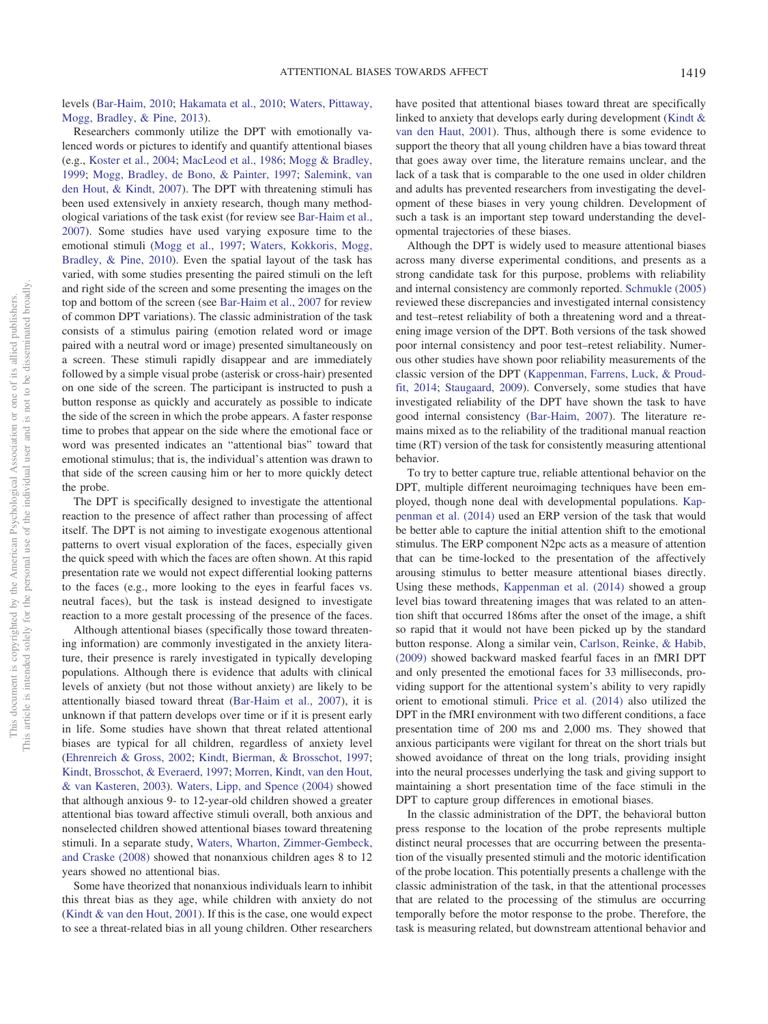levels [\(Bar-Haim, 2010;](#page-8-8) [Hakamata et al., 2010;](#page-8-9) [Waters, Pittaway,](#page-9-6) [Mogg, Bradley, & Pine, 2013\)](#page-9-6).

Researchers commonly utilize the DPT with emotionally valenced words or pictures to identify and quantify attentional biases (e.g., [Koster et al., 2004;](#page-9-7) [MacLeod et al., 1986;](#page-9-5) [Mogg & Bradley,](#page-9-8) [1999;](#page-9-8) [Mogg, Bradley, de Bono, & Painter, 1997;](#page-9-9) [Salemink, van](#page-9-10) [den Hout, & Kindt, 2007\)](#page-9-10). The DPT with threatening stimuli has been used extensively in anxiety research, though many methodological variations of the task exist (for review see [Bar-Haim et al.,](#page-8-5) [2007\)](#page-8-5). Some studies have used varying exposure time to the emotional stimuli [\(Mogg et al., 1997;](#page-9-9) [Waters, Kokkoris, Mogg,](#page-9-11) [Bradley, & Pine, 2010\)](#page-9-11). Even the spatial layout of the task has varied, with some studies presenting the paired stimuli on the left and right side of the screen and some presenting the images on the top and bottom of the screen (see [Bar-Haim et al., 2007](#page-8-5) for review of common DPT variations). The classic administration of the task consists of a stimulus pairing (emotion related word or image paired with a neutral word or image) presented simultaneously on a screen. These stimuli rapidly disappear and are immediately followed by a simple visual probe (asterisk or cross-hair) presented on one side of the screen. The participant is instructed to push a button response as quickly and accurately as possible to indicate the side of the screen in which the probe appears. A faster response time to probes that appear on the side where the emotional face or word was presented indicates an "attentional bias" toward that emotional stimulus; that is, the individual's attention was drawn to that side of the screen causing him or her to more quickly detect the probe.

The DPT is specifically designed to investigate the attentional reaction to the presence of affect rather than processing of affect itself. The DPT is not aiming to investigate exogenous attentional patterns to overt visual exploration of the faces, especially given the quick speed with which the faces are often shown. At this rapid presentation rate we would not expect differential looking patterns to the faces (e.g., more looking to the eyes in fearful faces vs. neutral faces), but the task is instead designed to investigate reaction to a more gestalt processing of the presence of the faces.

Although attentional biases (specifically those toward threatening information) are commonly investigated in the anxiety literature, their presence is rarely investigated in typically developing populations. Although there is evidence that adults with clinical levels of anxiety (but not those without anxiety) are likely to be attentionally biased toward threat [\(Bar-Haim et al., 2007\)](#page-8-5), it is unknown if that pattern develops over time or if it is present early in life. Some studies have shown that threat related attentional biases are typical for all children, regardless of anxiety level [\(Ehrenreich & Gross, 2002;](#page-8-10) [Kindt, Bierman, & Brosschot, 1997;](#page-8-11) [Kindt, Brosschot, & Everaerd, 1997;](#page-8-12) [Morren, Kindt, van den Hout,](#page-9-12) [& van Kasteren, 2003\)](#page-9-12). [Waters, Lipp, and Spence \(2004\)](#page-9-13) showed that although anxious 9- to 12-year-old children showed a greater attentional bias toward affective stimuli overall, both anxious and nonselected children showed attentional biases toward threatening stimuli. In a separate study, [Waters, Wharton, Zimmer-Gembeck,](#page-9-14) [and Craske \(2008\)](#page-9-14) showed that nonanxious children ages 8 to 12 years showed no attentional bias.

Some have theorized that nonanxious individuals learn to inhibit this threat bias as they age, while children with anxiety do not [\(Kindt & van den Hout, 2001\)](#page-9-15). If this is the case, one would expect to see a threat-related bias in all young children. Other researchers have posited that attentional biases toward threat are specifically linked to anxiety that develops early during development [\(Kindt &](#page-9-15) [van den Haut, 2001\)](#page-9-15). Thus, although there is some evidence to support the theory that all young children have a bias toward threat that goes away over time, the literature remains unclear, and the lack of a task that is comparable to the one used in older children and adults has prevented researchers from investigating the development of these biases in very young children. Development of such a task is an important step toward understanding the developmental trajectories of these biases.

Although the DPT is widely used to measure attentional biases across many diverse experimental conditions, and presents as a strong candidate task for this purpose, problems with reliability and internal consistency are commonly reported. [Schmukle \(2005\)](#page-9-16) reviewed these discrepancies and investigated internal consistency and test–retest reliability of both a threatening word and a threatening image version of the DPT. Both versions of the task showed poor internal consistency and poor test–retest reliability. Numerous other studies have shown poor reliability measurements of the classic version of the DPT [\(Kappenman, Farrens, Luck, & Proud](#page-8-13)[fit, 2014;](#page-8-13) [Staugaard, 2009\)](#page-9-17). Conversely, some studies that have investigated reliability of the DPT have shown the task to have good internal consistency [\(Bar-Haim, 2007\)](#page-8-5). The literature remains mixed as to the reliability of the traditional manual reaction time (RT) version of the task for consistently measuring attentional behavior.

To try to better capture true, reliable attentional behavior on the DPT, multiple different neuroimaging techniques have been employed, though none deal with developmental populations. [Kap](#page-8-13)[penman et al. \(2014\)](#page-8-13) used an ERP version of the task that would be better able to capture the initial attention shift to the emotional stimulus. The ERP component N2pc acts as a measure of attention that can be time-locked to the presentation of the affectively arousing stimulus to better measure attentional biases directly. Using these methods, [Kappenman et al. \(2014\)](#page-8-13) showed a group level bias toward threatening images that was related to an attention shift that occurred 186ms after the onset of the image, a shift so rapid that it would not have been picked up by the standard button response. Along a similar vein, [Carlson, Reinke, & Habib,](#page-8-14) [\(2009\)](#page-8-14) showed backward masked fearful faces in an fMRI DPT and only presented the emotional faces for 33 milliseconds, providing support for the attentional system's ability to very rapidly orient to emotional stimuli. [Price et al. \(2014\)](#page-9-18) also utilized the DPT in the fMRI environment with two different conditions, a face presentation time of 200 ms and 2,000 ms. They showed that anxious participants were vigilant for threat on the short trials but showed avoidance of threat on the long trials, providing insight into the neural processes underlying the task and giving support to maintaining a short presentation time of the face stimuli in the DPT to capture group differences in emotional biases.

In the classic administration of the DPT, the behavioral button press response to the location of the probe represents multiple distinct neural processes that are occurring between the presentation of the visually presented stimuli and the motoric identification of the probe location. This potentially presents a challenge with the classic administration of the task, in that the attentional processes that are related to the processing of the stimulus are occurring temporally before the motor response to the probe. Therefore, the task is measuring related, but downstream attentional behavior and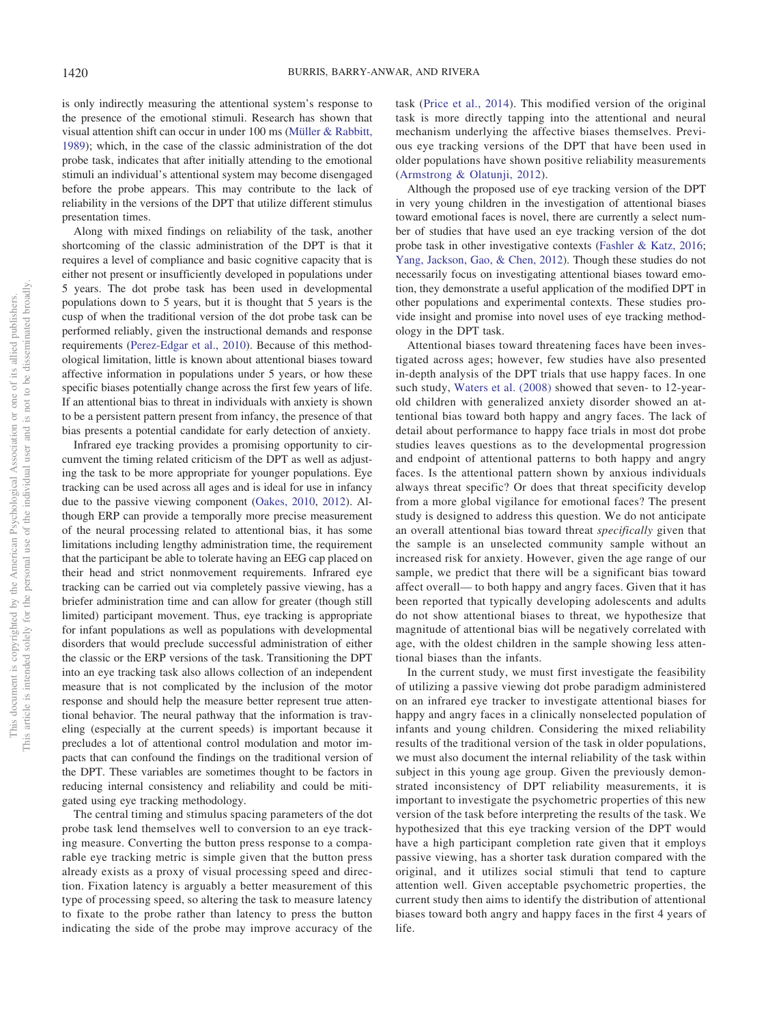is only indirectly measuring the attentional system's response to the presence of the emotional stimuli. Research has shown that visual attention shift can occur in under 100 ms [\(Müller & Rabbitt,](#page-9-19) [1989\)](#page-9-19); which, in the case of the classic administration of the dot probe task, indicates that after initially attending to the emotional stimuli an individual's attentional system may become disengaged before the probe appears. This may contribute to the lack of reliability in the versions of the DPT that utilize different stimulus presentation times.

Along with mixed findings on reliability of the task, another shortcoming of the classic administration of the DPT is that it requires a level of compliance and basic cognitive capacity that is either not present or insufficiently developed in populations under 5 years. The dot probe task has been used in developmental populations down to 5 years, but it is thought that 5 years is the cusp of when the traditional version of the dot probe task can be performed reliably, given the instructional demands and response requirements [\(Perez-Edgar et al., 2010\)](#page-9-20). Because of this methodological limitation, little is known about attentional biases toward affective information in populations under 5 years, or how these specific biases potentially change across the first few years of life. If an attentional bias to threat in individuals with anxiety is shown to be a persistent pattern present from infancy, the presence of that bias presents a potential candidate for early detection of anxiety.

Infrared eye tracking provides a promising opportunity to circumvent the timing related criticism of the DPT as well as adjusting the task to be more appropriate for younger populations. Eye tracking can be used across all ages and is ideal for use in infancy due to the passive viewing component [\(Oakes, 2010,](#page-9-21) [2012\)](#page-9-22). Although ERP can provide a temporally more precise measurement of the neural processing related to attentional bias, it has some limitations including lengthy administration time, the requirement that the participant be able to tolerate having an EEG cap placed on their head and strict nonmovement requirements. Infrared eye tracking can be carried out via completely passive viewing, has a briefer administration time and can allow for greater (though still limited) participant movement. Thus, eye tracking is appropriate for infant populations as well as populations with developmental disorders that would preclude successful administration of either the classic or the ERP versions of the task. Transitioning the DPT into an eye tracking task also allows collection of an independent measure that is not complicated by the inclusion of the motor response and should help the measure better represent true attentional behavior. The neural pathway that the information is traveling (especially at the current speeds) is important because it precludes a lot of attentional control modulation and motor impacts that can confound the findings on the traditional version of the DPT. These variables are sometimes thought to be factors in reducing internal consistency and reliability and could be mitigated using eye tracking methodology.

The central timing and stimulus spacing parameters of the dot probe task lend themselves well to conversion to an eye tracking measure. Converting the button press response to a comparable eye tracking metric is simple given that the button press already exists as a proxy of visual processing speed and direction. Fixation latency is arguably a better measurement of this type of processing speed, so altering the task to measure latency to fixate to the probe rather than latency to press the button indicating the side of the probe may improve accuracy of the

task [\(Price et al., 2014\)](#page-9-18). This modified version of the original task is more directly tapping into the attentional and neural mechanism underlying the affective biases themselves. Previous eye tracking versions of the DPT that have been used in older populations have shown positive reliability measurements [\(Armstrong & Olatunji, 2012\)](#page-8-15).

Although the proposed use of eye tracking version of the DPT in very young children in the investigation of attentional biases toward emotional faces is novel, there are currently a select number of studies that have used an eye tracking version of the dot probe task in other investigative contexts [\(Fashler & Katz, 2016;](#page-8-16) [Yang, Jackson, Gao, & Chen, 2012\)](#page-9-23). Though these studies do not necessarily focus on investigating attentional biases toward emotion, they demonstrate a useful application of the modified DPT in other populations and experimental contexts. These studies provide insight and promise into novel uses of eye tracking methodology in the DPT task.

Attentional biases toward threatening faces have been investigated across ages; however, few studies have also presented in-depth analysis of the DPT trials that use happy faces. In one such study, [Waters et al. \(2008\)](#page-9-14) showed that seven- to 12-yearold children with generalized anxiety disorder showed an attentional bias toward both happy and angry faces. The lack of detail about performance to happy face trials in most dot probe studies leaves questions as to the developmental progression and endpoint of attentional patterns to both happy and angry faces. Is the attentional pattern shown by anxious individuals always threat specific? Or does that threat specificity develop from a more global vigilance for emotional faces? The present study is designed to address this question. We do not anticipate an overall attentional bias toward threat *specifically* given that the sample is an unselected community sample without an increased risk for anxiety. However, given the age range of our sample, we predict that there will be a significant bias toward affect overall— to both happy and angry faces. Given that it has been reported that typically developing adolescents and adults do not show attentional biases to threat, we hypothesize that magnitude of attentional bias will be negatively correlated with age, with the oldest children in the sample showing less attentional biases than the infants.

In the current study, we must first investigate the feasibility of utilizing a passive viewing dot probe paradigm administered on an infrared eye tracker to investigate attentional biases for happy and angry faces in a clinically nonselected population of infants and young children. Considering the mixed reliability results of the traditional version of the task in older populations, we must also document the internal reliability of the task within subject in this young age group. Given the previously demonstrated inconsistency of DPT reliability measurements, it is important to investigate the psychometric properties of this new version of the task before interpreting the results of the task. We hypothesized that this eye tracking version of the DPT would have a high participant completion rate given that it employs passive viewing, has a shorter task duration compared with the original, and it utilizes social stimuli that tend to capture attention well. Given acceptable psychometric properties, the current study then aims to identify the distribution of attentional biases toward both angry and happy faces in the first 4 years of life.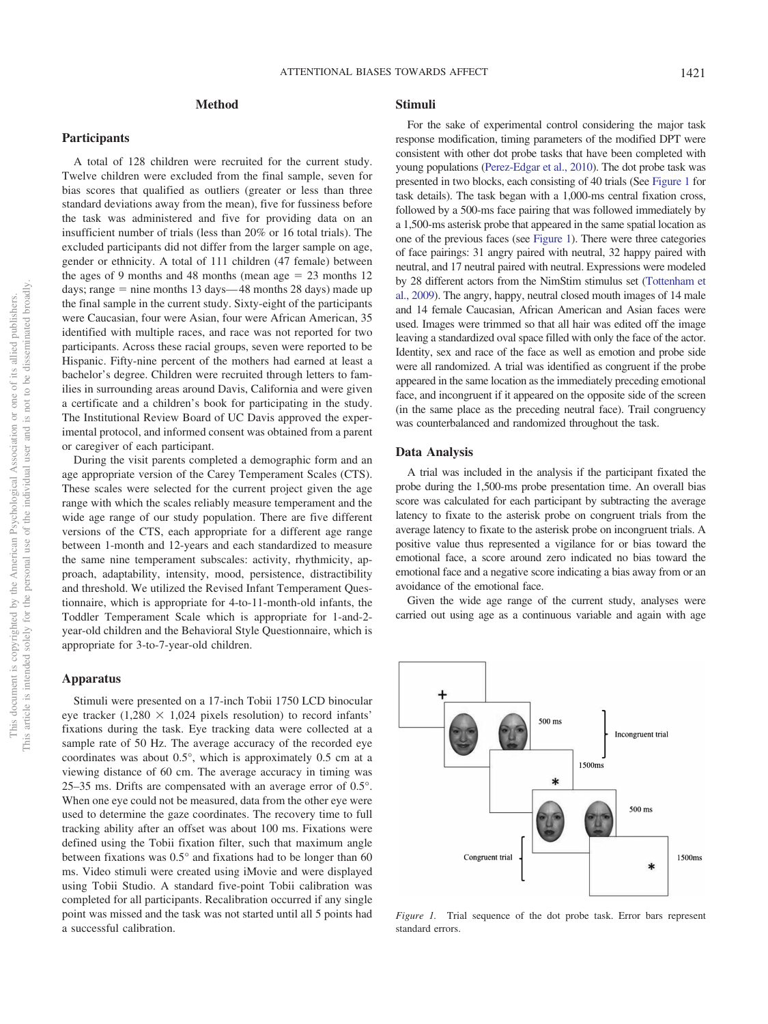# **Method**

#### **Participants**

A total of 128 children were recruited for the current study. Twelve children were excluded from the final sample, seven for bias scores that qualified as outliers (greater or less than three standard deviations away from the mean), five for fussiness before the task was administered and five for providing data on an insufficient number of trials (less than 20% or 16 total trials). The excluded participants did not differ from the larger sample on age, gender or ethnicity. A total of 111 children (47 female) between the ages of 9 months and 48 months (mean age  $= 23$  months 12 days; range = nine months 13 days—48 months 28 days) made up the final sample in the current study. Sixty-eight of the participants were Caucasian, four were Asian, four were African American, 35 identified with multiple races, and race was not reported for two participants. Across these racial groups, seven were reported to be Hispanic. Fifty-nine percent of the mothers had earned at least a bachelor's degree. Children were recruited through letters to families in surrounding areas around Davis, California and were given a certificate and a children's book for participating in the study. The Institutional Review Board of UC Davis approved the experimental protocol, and informed consent was obtained from a parent or caregiver of each participant.

During the visit parents completed a demographic form and an age appropriate version of the Carey Temperament Scales (CTS). These scales were selected for the current project given the age range with which the scales reliably measure temperament and the wide age range of our study population. There are five different versions of the CTS, each appropriate for a different age range between 1-month and 12-years and each standardized to measure the same nine temperament subscales: activity, rhythmicity, approach, adaptability, intensity, mood, persistence, distractibility and threshold. We utilized the Revised Infant Temperament Questionnaire, which is appropriate for 4-to-11-month-old infants, the Toddler Temperament Scale which is appropriate for 1-and-2 year-old children and the Behavioral Style Questionnaire, which is appropriate for 3-to-7-year-old children.

## **Apparatus**

Stimuli were presented on a 17-inch Tobii 1750 LCD binocular eye tracker (1,280  $\times$  1,024 pixels resolution) to record infants' fixations during the task. Eye tracking data were collected at a sample rate of 50 Hz. The average accuracy of the recorded eye coordinates was about 0.5°, which is approximately 0.5 cm at a viewing distance of 60 cm. The average accuracy in timing was 25–35 ms. Drifts are compensated with an average error of 0.5°. When one eye could not be measured, data from the other eye were used to determine the gaze coordinates. The recovery time to full tracking ability after an offset was about 100 ms. Fixations were defined using the Tobii fixation filter, such that maximum angle between fixations was 0.5° and fixations had to be longer than 60 ms. Video stimuli were created using iMovie and were displayed using Tobii Studio. A standard five-point Tobii calibration was completed for all participants. Recalibration occurred if any single point was missed and the task was not started until all 5 points had a successful calibration.

### **Stimuli**

For the sake of experimental control considering the major task response modification, timing parameters of the modified DPT were consistent with other dot probe tasks that have been completed with young populations [\(Perez-Edgar et al., 2010\)](#page-9-20). The dot probe task was presented in two blocks, each consisting of 40 trials (See [Figure 1](#page-3-0) for task details). The task began with a 1,000-ms central fixation cross, followed by a 500-ms face pairing that was followed immediately by a 1,500-ms asterisk probe that appeared in the same spatial location as one of the previous faces (see [Figure 1\)](#page-3-0). There were three categories of face pairings: 31 angry paired with neutral, 32 happy paired with neutral, and 17 neutral paired with neutral. Expressions were modeled by 28 different actors from the NimStim stimulus set [\(Tottenham et](#page-9-24) [al., 2009\)](#page-9-24). The angry, happy, neutral closed mouth images of 14 male and 14 female Caucasian, African American and Asian faces were used. Images were trimmed so that all hair was edited off the image leaving a standardized oval space filled with only the face of the actor. Identity, sex and race of the face as well as emotion and probe side were all randomized. A trial was identified as congruent if the probe appeared in the same location as the immediately preceding emotional face, and incongruent if it appeared on the opposite side of the screen (in the same place as the preceding neutral face). Trail congruency was counterbalanced and randomized throughout the task.

#### **Data Analysis**

A trial was included in the analysis if the participant fixated the probe during the 1,500-ms probe presentation time. An overall bias score was calculated for each participant by subtracting the average latency to fixate to the asterisk probe on congruent trials from the average latency to fixate to the asterisk probe on incongruent trials. A positive value thus represented a vigilance for or bias toward the emotional face, a score around zero indicated no bias toward the emotional face and a negative score indicating a bias away from or an avoidance of the emotional face.

Given the wide age range of the current study, analyses were carried out using age as a continuous variable and again with age



<span id="page-3-0"></span>*Figure 1.* Trial sequence of the dot probe task. Error bars represent standard errors.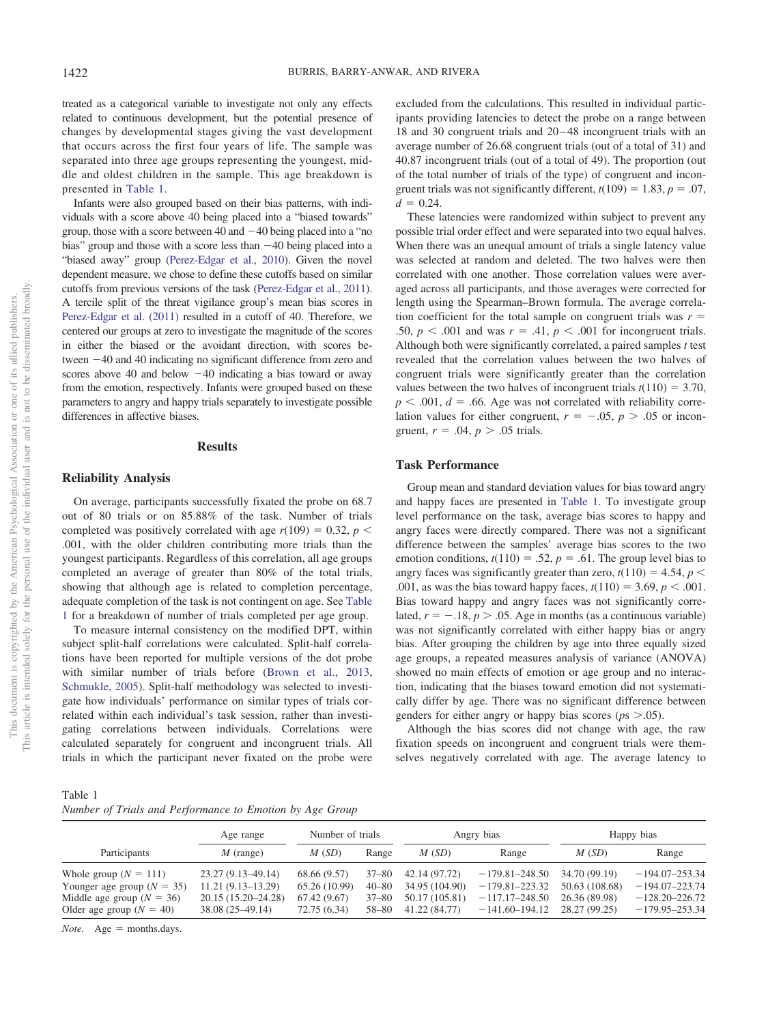treated as a categorical variable to investigate not only any effects related to continuous development, but the potential presence of changes by developmental stages giving the vast development that occurs across the first four years of life. The sample was separated into three age groups representing the youngest, middle and oldest children in the sample. This age breakdown is presented in [Table 1.](#page-4-0)

Infants were also grouped based on their bias patterns, with individuals with a score above 40 being placed into a "biased towards" group, those with a score between 40 and  $-40$  being placed into a "no bias" group and those with a score less than  $-40$  being placed into a "biased away" group [\(Perez-Edgar et al., 2010\)](#page-9-20). Given the novel dependent measure, we chose to define these cutoffs based on similar cutoffs from previous versions of the task [\(Perez-Edgar et al., 2011\)](#page-9-25). A tercile split of the threat vigilance group's mean bias scores in [Perez-Edgar et al. \(2011\)](#page-9-25) resulted in a cutoff of 40. Therefore, we centered our groups at zero to investigate the magnitude of the scores in either the biased or the avoidant direction, with scores between  $-40$  and  $40$  indicating no significant difference from zero and scores above 40 and below  $-40$  indicating a bias toward or away from the emotion, respectively. Infants were grouped based on these parameters to angry and happy trials separately to investigate possible differences in affective biases.

## **Results**

#### **Reliability Analysis**

On average, participants successfully fixated the probe on 68.7 out of 80 trials or on 85.88% of the task. Number of trials completed was positively correlated with age  $r(109) = 0.32$ ,  $p <$ .001, with the older children contributing more trials than the youngest participants. Regardless of this correlation, all age groups completed an average of greater than 80% of the total trials, showing that although age is related to completion percentage, adequate completion of the task is not contingent on age. See [Table](#page-4-0) [1](#page-4-0) for a breakdown of number of trials completed per age group.

To measure internal consistency on the modified DPT, within subject split-half correlations were calculated. Split-half correlations have been reported for multiple versions of the dot probe with similar number of trials before [\(Brown et al., 2013,](#page-8-17) [Schmukle, 2005\)](#page-9-16). Split-half methodology was selected to investigate how individuals' performance on similar types of trials correlated within each individual's task session, rather than investigating correlations between individuals. Correlations were calculated separately for congruent and incongruent trials. All trials in which the participant never fixated on the probe were excluded from the calculations. This resulted in individual participants providing latencies to detect the probe on a range between 18 and 30 congruent trials and 20 – 48 incongruent trials with an average number of 26.68 congruent trials (out of a total of 31) and 40.87 incongruent trials (out of a total of 49). The proportion (out of the total number of trials of the type) of congruent and incongruent trials was not significantly different,  $t(109) = 1.83$ ,  $p = .07$ ,  $d = 0.24$ .

These latencies were randomized within subject to prevent any possible trial order effect and were separated into two equal halves. When there was an unequal amount of trials a single latency value was selected at random and deleted. The two halves were then correlated with one another. Those correlation values were averaged across all participants, and those averages were corrected for length using the Spearman–Brown formula. The average correlation coefficient for the total sample on congruent trials was  $r =$ .50,  $p < .001$  and was  $r = .41$ ,  $p < .001$  for incongruent trials. Although both were significantly correlated, a paired samples *t* test revealed that the correlation values between the two halves of congruent trials were significantly greater than the correlation values between the two halves of incongruent trials  $t(110) = 3.70$ ,  $p < .001$ ,  $d = .66$ . Age was not correlated with reliability correlation values for either congruent,  $r = -.05$ ,  $p > .05$  or incongruent,  $r = .04$ ,  $p > .05$  trials.

## **Task Performance**

Group mean and standard deviation values for bias toward angry and happy faces are presented in [Table 1.](#page-4-0) To investigate group level performance on the task, average bias scores to happy and angry faces were directly compared. There was not a significant difference between the samples' average bias scores to the two emotion conditions,  $t(110) = .52$ ,  $p = .61$ . The group level bias to angry faces was significantly greater than zero,  $t(110) = 4.54$ ,  $p <$ .001, as was the bias toward happy faces,  $t(110) = 3.69$ ,  $p < .001$ . Bias toward happy and angry faces was not significantly correlated,  $r = -.18$ ,  $p > .05$ . Age in months (as a continuous variable) was not significantly correlated with either happy bias or angry bias. After grouping the children by age into three equally sized age groups, a repeated measures analysis of variance (ANOVA) showed no main effects of emotion or age group and no interaction, indicating that the biases toward emotion did not systematically differ by age. There was no significant difference between genders for either angry or happy bias scores ( $p_s$   $> .05$ ).

Although the bias scores did not change with age, the raw fixation speeds on incongruent and congruent trials were themselves negatively correlated with age. The average latency to

<span id="page-4-0"></span>Table 1 *Number of Trials and Performance to Emotion by Age Group*

|                                                                                                                        | Age range                                                                              | Number of trials                                             |                                          |                                                                    | Angry bias                                                                           | Happy bias                                                        |                                                                                      |
|------------------------------------------------------------------------------------------------------------------------|----------------------------------------------------------------------------------------|--------------------------------------------------------------|------------------------------------------|--------------------------------------------------------------------|--------------------------------------------------------------------------------------|-------------------------------------------------------------------|--------------------------------------------------------------------------------------|
| Participants                                                                                                           | $M$ (range)                                                                            | M(SD)                                                        | Range                                    | M(SD)                                                              | Range                                                                                | M(SD)                                                             | Range                                                                                |
| Whole group $(N = 111)$<br>Younger age group $(N = 35)$<br>Middle age group ( $N = 36$ )<br>Older age group $(N = 40)$ | 23.27 (9.13–49.14)<br>$11.21(9.13 - 13.29)$<br>20.15 (15.20–24.28)<br>38.08 (25–49.14) | 68.66 (9.57)<br>65.26 (10.99)<br>67.42(9.67)<br>72.75 (6.34) | 37–80<br>$40 - 80$<br>$37 - 80$<br>58–80 | 42.14 (97.72)<br>34.95 (104.90)<br>50.17 (105.81)<br>41.22 (84.77) | $-179.81 - 248.50$<br>$-179.81 - 223.32$<br>$-117.17 - 248.50$<br>$-141.60 - 194.12$ | 34.70 (99.19)<br>50.63 (108.68)<br>26.36 (89.98)<br>28.27 (99.25) | $-194.07 - 253.34$<br>$-194.07 - 223.74$<br>$-128.20 - 226.72$<br>$-179.95 - 253.34$ |

*Note.*  $Age = months days$ .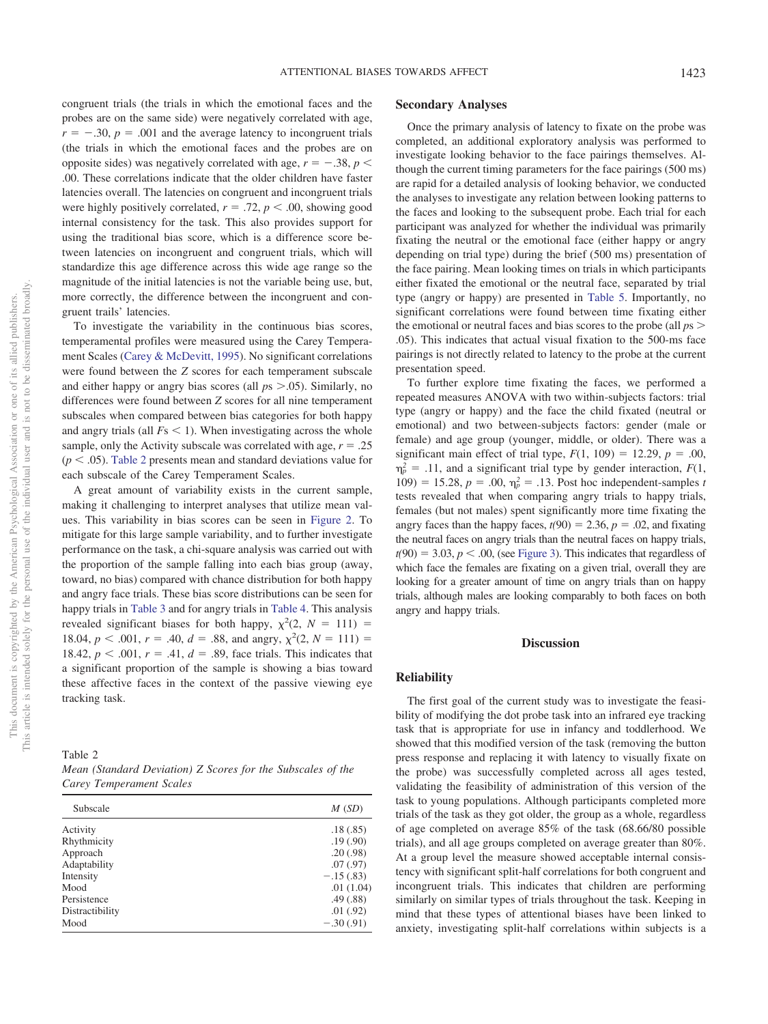congruent trials (the trials in which the emotional faces and the probes are on the same side) were negatively correlated with age,  $r = -.30, p = .001$  and the average latency to incongruent trials (the trials in which the emotional faces and the probes are on opposite sides) was negatively correlated with age,  $r = -.38$ ,  $p <$ .00. These correlations indicate that the older children have faster latencies overall. The latencies on congruent and incongruent trials were highly positively correlated,  $r = .72$ ,  $p < .00$ , showing good internal consistency for the task. This also provides support for using the traditional bias score, which is a difference score between latencies on incongruent and congruent trials, which will standardize this age difference across this wide age range so the magnitude of the initial latencies is not the variable being use, but, more correctly, the difference between the incongruent and congruent trails' latencies.

To investigate the variability in the continuous bias scores, temperamental profiles were measured using the Carey Temperament Scales [\(Carey & McDevitt, 1995\)](#page-8-18). No significant correlations were found between the *Z* scores for each temperament subscale and either happy or angry bias scores (all  $p_s > 0.05$ ). Similarly, no differences were found between *Z* scores for all nine temperament subscales when compared between bias categories for both happy and angry trials (all  $Fs < 1$ ). When investigating across the whole sample, only the Activity subscale was correlated with age,  $r = .25$  $(p < .05)$ . [Table 2](#page-5-0) presents mean and standard deviations value for each subscale of the Carey Temperament Scales.

A great amount of variability exists in the current sample, making it challenging to interpret analyses that utilize mean values. This variability in bias scores can be seen in [Figure 2.](#page-6-0) To mitigate for this large sample variability, and to further investigate performance on the task, a chi-square analysis was carried out with the proportion of the sample falling into each bias group (away, toward, no bias) compared with chance distribution for both happy and angry face trials. These bias score distributions can be seen for happy trials in [Table 3](#page-6-1) and for angry trials in [Table 4.](#page-6-2) This analysis revealed significant biases for both happy,  $\chi^2(2, N = 111)$  = 18.04,  $p < .001$ ,  $r = .40$ ,  $d = .88$ , and angry,  $\chi^2(2, N = 111) =$ 18.42,  $p < .001$ ,  $r = .41$ ,  $d = .89$ , face trials. This indicates that a significant proportion of the sample is showing a bias toward these affective faces in the context of the passive viewing eye tracking task.

<span id="page-5-0"></span>Table 2

| Mean (Standard Deviation) Z Scores for the Subscales of the |  |  |  |
|-------------------------------------------------------------|--|--|--|
| Carey Temperament Scales                                    |  |  |  |

| Subscale        | M(SD)       |
|-----------------|-------------|
| Activity        | .18(.85)    |
| Rhythmicity     | .19(.90)    |
| Approach        | .20(.98)    |
| Adaptability    | .07(.97)    |
| Intensity       | $-.15(.83)$ |
| Mood            | .01(1.04)   |
| Persistence     | .49(.88)    |
| Distractibility | .01(.92)    |
| Mood            | $-.30(.91)$ |
|                 |             |

#### **Secondary Analyses**

Once the primary analysis of latency to fixate on the probe was completed, an additional exploratory analysis was performed to investigate looking behavior to the face pairings themselves. Although the current timing parameters for the face pairings (500 ms) are rapid for a detailed analysis of looking behavior, we conducted the analyses to investigate any relation between looking patterns to the faces and looking to the subsequent probe. Each trial for each participant was analyzed for whether the individual was primarily fixating the neutral or the emotional face (either happy or angry depending on trial type) during the brief (500 ms) presentation of the face pairing. Mean looking times on trials in which participants either fixated the emotional or the neutral face, separated by trial type (angry or happy) are presented in [Table 5.](#page-7-0) Importantly, no significant correlations were found between time fixating either the emotional or neutral faces and bias scores to the probe (all *p*s .05). This indicates that actual visual fixation to the 500-ms face pairings is not directly related to latency to the probe at the current presentation speed.

To further explore time fixating the faces, we performed a repeated measures ANOVA with two within-subjects factors: trial type (angry or happy) and the face the child fixated (neutral or emotional) and two between-subjects factors: gender (male or female) and age group (younger, middle, or older). There was a significant main effect of trial type,  $F(1, 109) = 12.29$ ,  $p = .00$ ,  $\eta_p^2 = .11$ , and a significant trial type by gender interaction, *F*(1, 109) = 15.28,  $p = .00$ ,  $\eta_p^2 = .13$ . Post hoc independent-samples *t* tests revealed that when comparing angry trials to happy trials, females (but not males) spent significantly more time fixating the angry faces than the happy faces,  $t(90) = 2.36$ ,  $p = .02$ , and fixating the neutral faces on angry trials than the neutral faces on happy trials,  $t(90) = 3.03, p < .00$ , (see [Figure 3\)](#page-7-1). This indicates that regardless of which face the females are fixating on a given trial, overall they are looking for a greater amount of time on angry trials than on happy trials, although males are looking comparably to both faces on both angry and happy trials.

## **Discussion**

## **Reliability**

The first goal of the current study was to investigate the feasibility of modifying the dot probe task into an infrared eye tracking task that is appropriate for use in infancy and toddlerhood. We showed that this modified version of the task (removing the button press response and replacing it with latency to visually fixate on the probe) was successfully completed across all ages tested, validating the feasibility of administration of this version of the task to young populations. Although participants completed more trials of the task as they got older, the group as a whole, regardless of age completed on average 85% of the task (68.66/80 possible trials), and all age groups completed on average greater than 80%. At a group level the measure showed acceptable internal consistency with significant split-half correlations for both congruent and incongruent trials. This indicates that children are performing similarly on similar types of trials throughout the task. Keeping in mind that these types of attentional biases have been linked to anxiety, investigating split-half correlations within subjects is a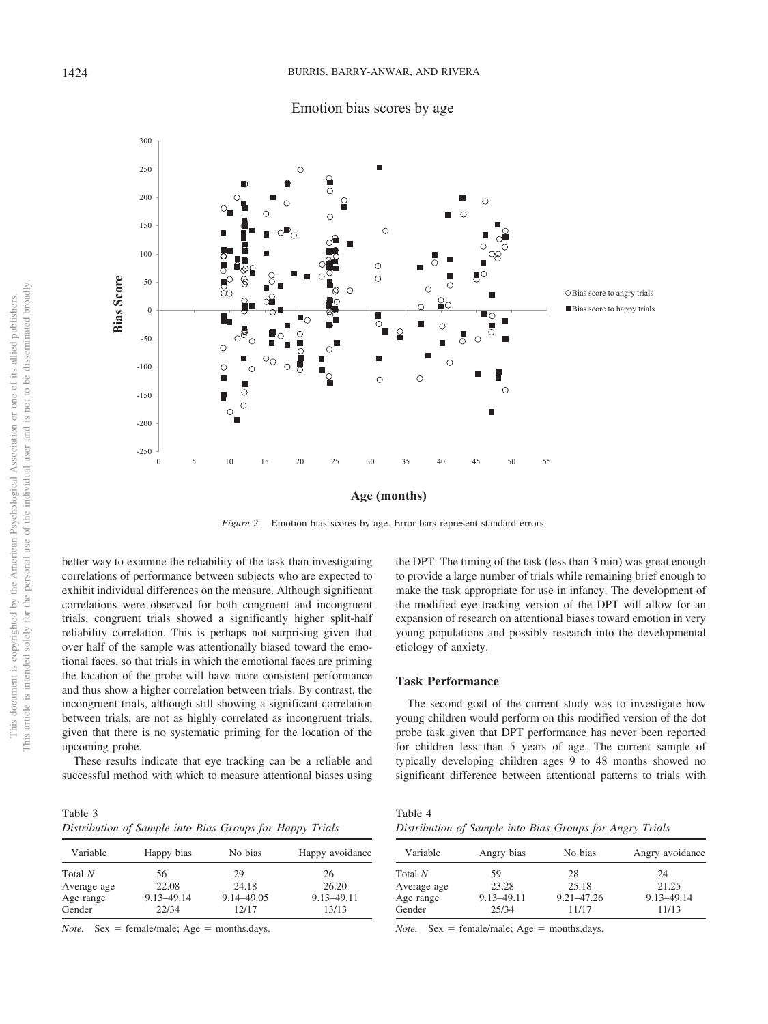



<span id="page-6-0"></span>*Figure 2.* Emotion bias scores by age. Error bars represent standard errors.

better way to examine the reliability of the task than investigating correlations of performance between subjects who are expected to exhibit individual differences on the measure. Although significant correlations were observed for both congruent and incongruent trials, congruent trials showed a significantly higher split-half reliability correlation. This is perhaps not surprising given that over half of the sample was attentionally biased toward the emotional faces, so that trials in which the emotional faces are priming the location of the probe will have more consistent performance and thus show a higher correlation between trials. By contrast, the incongruent trials, although still showing a significant correlation between trials, are not as highly correlated as incongruent trials, given that there is no systematic priming for the location of the upcoming probe.

These results indicate that eye tracking can be a reliable and successful method with which to measure attentional biases using

<span id="page-6-1"></span>Table 3 *Distribution of Sample into Bias Groups for Happy Trials*

| Variable    | Happy bias | No bias      | Happy avoidance |
|-------------|------------|--------------|-----------------|
| Total N     | 56         | 29           | 26              |
| Average age | 22.08      | 24.18        | 26.20           |
| Age range   | 9.13-49.14 | 9.14 - 49.05 | 9.13-49.11      |
| Gender      | 22/34      | 12/17        | 13/13           |

 $Note.$  Sex = female/male;  $Age = months days.$ 

the DPT. The timing of the task (less than 3 min) was great enough to provide a large number of trials while remaining brief enough to make the task appropriate for use in infancy. The development of the modified eye tracking version of the DPT will allow for an expansion of research on attentional biases toward emotion in very young populations and possibly research into the developmental etiology of anxiety.

## **Task Performance**

The second goal of the current study was to investigate how young children would perform on this modified version of the dot probe task given that DPT performance has never been reported for children less than 5 years of age. The current sample of typically developing children ages 9 to 48 months showed no significant difference between attentional patterns to trials with

<span id="page-6-2"></span>

| Table 4                                                  |  |  |  |
|----------------------------------------------------------|--|--|--|
| Distribution of Sample into Bias Groups for Angry Trials |  |  |  |

| Variable    | Angry bias | No bias    | Angry avoidance |
|-------------|------------|------------|-----------------|
| Total $N$   | 59         | 28         | 24              |
| Average age | 23.28      | 25.18      | 21.25           |
| Age range   | 9.13-49.11 | 9.21-47.26 | 9.13-49.14      |
| Gender      | 25/34      | 11/17      | 11/13           |

 $Note.$  Sex = female/male;  $Age = months days.$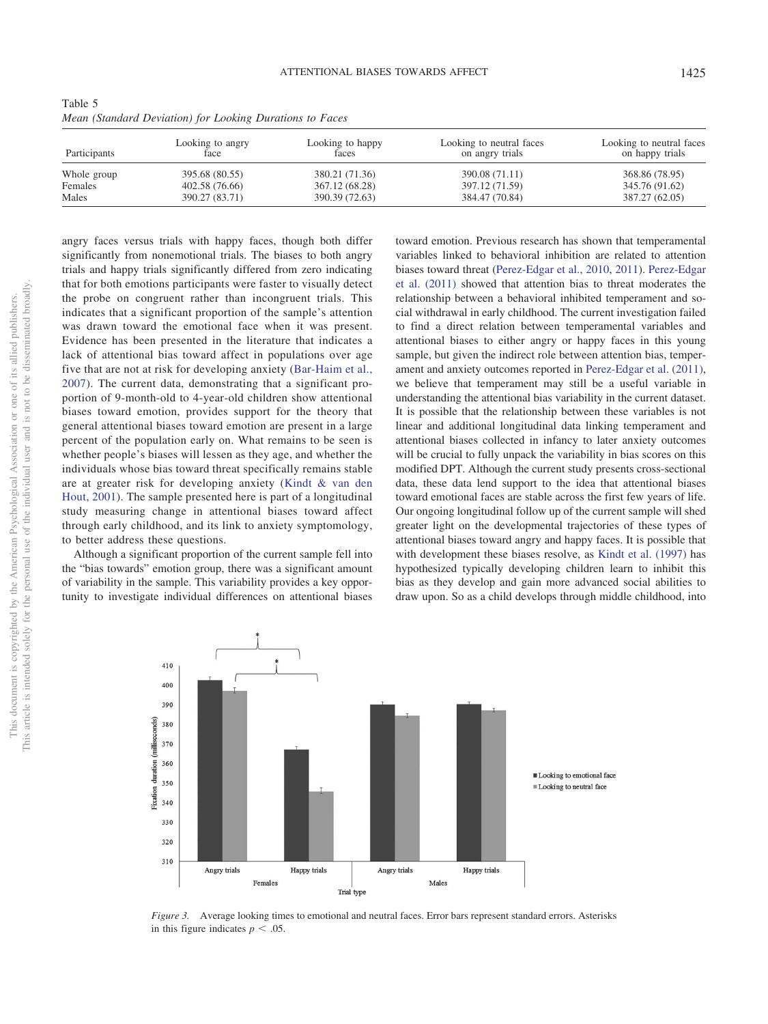<span id="page-7-0"></span>

| Table 5                                                  |  |  |  |
|----------------------------------------------------------|--|--|--|
| Mean (Standard Deviation) for Looking Durations to Faces |  |  |  |

| Participants | Looking to angry<br>face | Looking to happy<br>faces | Looking to neutral faces<br>on angry trials | Looking to neutral faces<br>on happy trials |
|--------------|--------------------------|---------------------------|---------------------------------------------|---------------------------------------------|
| Whole group  | 395.68 (80.55)           | 380.21 (71.36)            | 390.08 (71.11)                              | 368.86 (78.95)                              |
| Females      | 402.58 (76.66)           | 367.12 (68.28)            | 397.12 (71.59)                              | 345.76 (91.62)                              |
| Males        | 390.27 (83.71)           | 390.39 (72.63)            | 384.47 (70.84)                              | 387.27 (62.05)                              |

angry faces versus trials with happy faces, though both differ significantly from nonemotional trials. The biases to both angry trials and happy trials significantly differed from zero indicating that for both emotions participants were faster to visually detect the probe on congruent rather than incongruent trials. This indicates that a significant proportion of the sample's attention was drawn toward the emotional face when it was present. Evidence has been presented in the literature that indicates a lack of attentional bias toward affect in populations over age five that are not at risk for developing anxiety [\(Bar-Haim et al.,](#page-8-5) [2007\)](#page-8-5). The current data, demonstrating that a significant proportion of 9-month-old to 4-year-old children show attentional biases toward emotion, provides support for the theory that general attentional biases toward emotion are present in a large percent of the population early on. What remains to be seen is whether people's biases will lessen as they age, and whether the individuals whose bias toward threat specifically remains stable are at greater risk for developing anxiety [\(Kindt & van den](#page-9-15) [Hout, 2001\)](#page-9-15). The sample presented here is part of a longitudinal study measuring change in attentional biases toward affect through early childhood, and its link to anxiety symptomology, to better address these questions.

Although a significant proportion of the current sample fell into the "bias towards" emotion group, there was a significant amount of variability in the sample. This variability provides a key opportunity to investigate individual differences on attentional biases toward emotion. Previous research has shown that temperamental variables linked to behavioral inhibition are related to attention biases toward threat [\(Perez-Edgar et al., 2010,](#page-9-20) [2011\)](#page-9-25). [Perez-Edgar](#page-9-25) [et al. \(2011\)](#page-9-25) showed that attention bias to threat moderates the relationship between a behavioral inhibited temperament and social withdrawal in early childhood. The current investigation failed to find a direct relation between temperamental variables and attentional biases to either angry or happy faces in this young sample, but given the indirect role between attention bias, temperament and anxiety outcomes reported in [Perez-Edgar et al. \(2011\),](#page-9-25) we believe that temperament may still be a useful variable in understanding the attentional bias variability in the current dataset. It is possible that the relationship between these variables is not linear and additional longitudinal data linking temperament and attentional biases collected in infancy to later anxiety outcomes will be crucial to fully unpack the variability in bias scores on this modified DPT. Although the current study presents cross-sectional data, these data lend support to the idea that attentional biases toward emotional faces are stable across the first few years of life. Our ongoing longitudinal follow up of the current sample will shed greater light on the developmental trajectories of these types of attentional biases toward angry and happy faces. It is possible that with development these biases resolve, as [Kindt et al. \(1997\)](#page-8-11) has hypothesized typically developing children learn to inhibit this bias as they develop and gain more advanced social abilities to draw upon. So as a child develops through middle childhood, into



<span id="page-7-1"></span>*Figure 3.* Average looking times to emotional and neutral faces. Error bars represent standard errors. Asterisks in this figure indicates  $p < .05$ .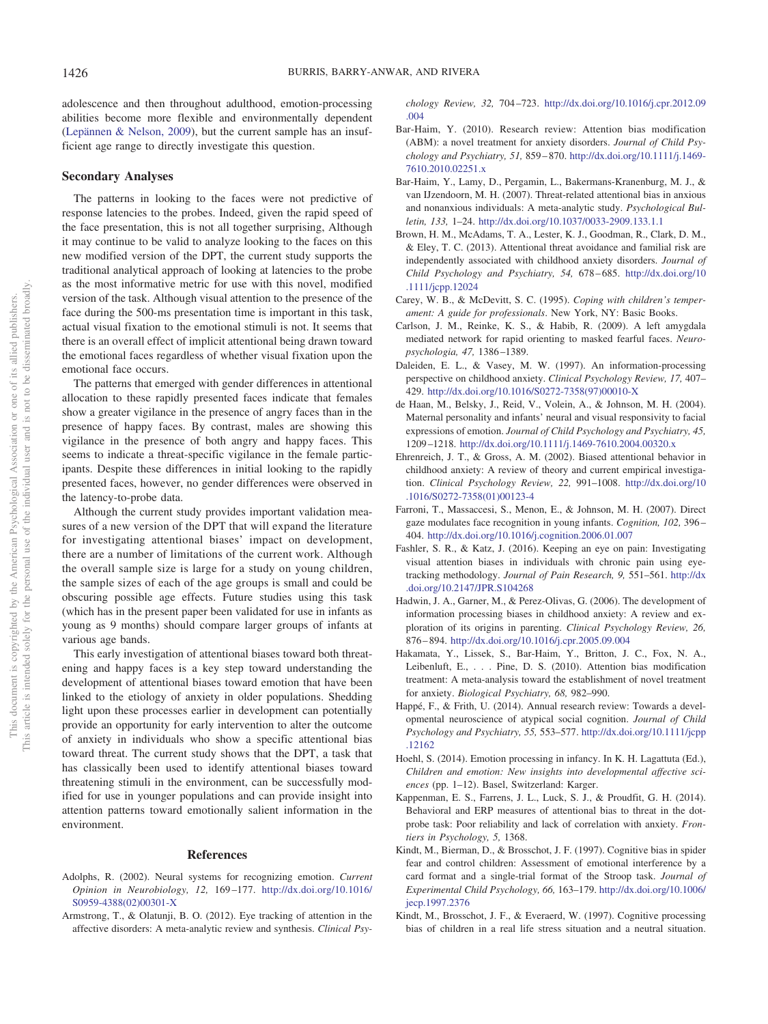adolescence and then throughout adulthood, emotion-processing abilities become more flexible and environmentally dependent [\(Lepännen & Nelson, 2009\)](#page-9-2), but the current sample has an insufficient age range to directly investigate this question.

#### **Secondary Analyses**

The patterns in looking to the faces were not predictive of response latencies to the probes. Indeed, given the rapid speed of the face presentation, this is not all together surprising, Although it may continue to be valid to analyze looking to the faces on this new modified version of the DPT, the current study supports the traditional analytical approach of looking at latencies to the probe as the most informative metric for use with this novel, modified version of the task. Although visual attention to the presence of the face during the 500-ms presentation time is important in this task, actual visual fixation to the emotional stimuli is not. It seems that there is an overall effect of implicit attentional being drawn toward the emotional faces regardless of whether visual fixation upon the emotional face occurs.

The patterns that emerged with gender differences in attentional allocation to these rapidly presented faces indicate that females show a greater vigilance in the presence of angry faces than in the presence of happy faces. By contrast, males are showing this vigilance in the presence of both angry and happy faces. This seems to indicate a threat-specific vigilance in the female participants. Despite these differences in initial looking to the rapidly presented faces, however, no gender differences were observed in the latency-to-probe data.

Although the current study provides important validation measures of a new version of the DPT that will expand the literature for investigating attentional biases' impact on development, there are a number of limitations of the current work. Although the overall sample size is large for a study on young children, the sample sizes of each of the age groups is small and could be obscuring possible age effects. Future studies using this task (which has in the present paper been validated for use in infants as young as 9 months) should compare larger groups of infants at various age bands.

This early investigation of attentional biases toward both threatening and happy faces is a key step toward understanding the development of attentional biases toward emotion that have been linked to the etiology of anxiety in older populations. Shedding light upon these processes earlier in development can potentially provide an opportunity for early intervention to alter the outcome of anxiety in individuals who show a specific attentional bias toward threat. The current study shows that the DPT, a task that has classically been used to identify attentional biases toward threatening stimuli in the environment, can be successfully modified for use in younger populations and can provide insight into attention patterns toward emotionally salient information in the environment.

#### **References**

- <span id="page-8-4"></span>Adolphs, R. (2002). Neural systems for recognizing emotion. *Current Opinion in Neurobiology, 12,* 169 –177. [http://dx.doi.org/10.1016/](http://dx.doi.org/10.1016/S0959-4388%2802%2900301-X) [S0959-4388\(02\)00301-X](http://dx.doi.org/10.1016/S0959-4388%2802%2900301-X)
- <span id="page-8-15"></span>Armstrong, T., & Olatunji, B. O. (2012). Eye tracking of attention in the affective disorders: A meta-analytic review and synthesis. *Clinical Psy-*

*chology Review, 32,* 704 –723. [http://dx.doi.org/10.1016/j.cpr.2012.09](http://dx.doi.org/10.1016/j.cpr.2012.09.004) [.004](http://dx.doi.org/10.1016/j.cpr.2012.09.004)

- <span id="page-8-8"></span>Bar-Haim, Y. (2010). Research review: Attention bias modification (ABM): a novel treatment for anxiety disorders. *Journal of Child Psychology and Psychiatry, 51,* 859 – 870. [http://dx.doi.org/10.1111/j.1469-](http://dx.doi.org/10.1111/j.1469-7610.2010.02251.x) [7610.2010.02251.x](http://dx.doi.org/10.1111/j.1469-7610.2010.02251.x)
- <span id="page-8-5"></span>Bar-Haim, Y., Lamy, D., Pergamin, L., Bakermans-Kranenburg, M. J., & van IJzendoorn, M. H. (2007). Threat-related attentional bias in anxious and nonanxious individuals: A meta-analytic study. *Psychological Bulletin, 133,* 1–24. <http://dx.doi.org/10.1037/0033-2909.133.1.1>
- <span id="page-8-17"></span>Brown, H. M., McAdams, T. A., Lester, K. J., Goodman, R., Clark, D. M., & Eley, T. C. (2013). Attentional threat avoidance and familial risk are independently associated with childhood anxiety disorders. *Journal of Child Psychology and Psychiatry, 54,* 678 – 685. [http://dx.doi.org/10](http://dx.doi.org/10.1111/jcpp.12024) [.1111/jcpp.12024](http://dx.doi.org/10.1111/jcpp.12024)
- <span id="page-8-18"></span>Carey, W. B., & McDevitt, S. C. (1995). *Coping with children's temperament: A guide for professionals*. New York, NY: Basic Books.
- <span id="page-8-14"></span>Carlson, J. M., Reinke, K. S., & Habib, R. (2009). A left amygdala mediated network for rapid orienting to masked fearful faces. *Neuropsychologia, 47,* 1386 –1389.
- <span id="page-8-6"></span>Daleiden, E. L., & Vasey, M. W. (1997). An information-processing perspective on childhood anxiety. *Clinical Psychology Review, 17,* 407– 429. [http://dx.doi.org/10.1016/S0272-7358\(97\)00010-X](http://dx.doi.org/10.1016/S0272-7358%2897%2900010-X)
- <span id="page-8-3"></span>de Haan, M., Belsky, J., Reid, V., Volein, A., & Johnson, M. H. (2004). Maternal personality and infants' neural and visual responsivity to facial expressions of emotion. *Journal of Child Psychology and Psychiatry, 45,* 1209 –1218. <http://dx.doi.org/10.1111/j.1469-7610.2004.00320.x>
- <span id="page-8-10"></span>Ehrenreich, J. T., & Gross, A. M. (2002). Biased attentional behavior in childhood anxiety: A review of theory and current empirical investigation. *Clinical Psychology Review, 22,* 991–1008. [http://dx.doi.org/10](http://dx.doi.org/10.1016/S0272-7358%2801%2900123-4) [.1016/S0272-7358\(01\)00123-4](http://dx.doi.org/10.1016/S0272-7358%2801%2900123-4)
- <span id="page-8-0"></span>Farroni, T., Massaccesi, S., Menon, E., & Johnson, M. H. (2007). Direct gaze modulates face recognition in young infants. *Cognition, 102,* 396 – 404. <http://dx.doi.org/10.1016/j.cognition.2006.01.007>
- <span id="page-8-16"></span>Fashler, S. R., & Katz, J. (2016). Keeping an eye on pain: Investigating visual attention biases in individuals with chronic pain using eyetracking methodology. *Journal of Pain Research, 9,* 551–561. [http://dx](http://dx.doi.org/10.2147/JPR.S104268) [.doi.org/10.2147/JPR.S104268](http://dx.doi.org/10.2147/JPR.S104268)
- <span id="page-8-7"></span>Hadwin, J. A., Garner, M., & Perez-Olivas, G. (2006). The development of information processing biases in childhood anxiety: A review and exploration of its origins in parenting. *Clinical Psychology Review, 26,* 876 – 894. <http://dx.doi.org/10.1016/j.cpr.2005.09.004>
- <span id="page-8-9"></span>Hakamata, Y., Lissek, S., Bar-Haim, Y., Britton, J. C., Fox, N. A., Leibenluft, E.,... Pine, D. S. (2010). Attention bias modification treatment: A meta-analysis toward the establishment of novel treatment for anxiety. *Biological Psychiatry, 68,* 982–990.
- <span id="page-8-1"></span>Happé, F., & Frith, U. (2014). Annual research review: Towards a developmental neuroscience of atypical social cognition. *Journal of Child Psychology and Psychiatry, 55,* 553–577. [http://dx.doi.org/10.1111/jcpp](http://dx.doi.org/10.1111/jcpp.12162) [.12162](http://dx.doi.org/10.1111/jcpp.12162)
- <span id="page-8-2"></span>Hoehl, S. (2014). Emotion processing in infancy. In K. H. Lagattuta (Ed.), *Children and emotion: New insights into developmental affective sciences* (pp. 1–12). Basel, Switzerland: Karger.
- <span id="page-8-13"></span>Kappenman, E. S., Farrens, J. L., Luck, S. J., & Proudfit, G. H. (2014). Behavioral and ERP measures of attentional bias to threat in the dotprobe task: Poor reliability and lack of correlation with anxiety. *Frontiers in Psychology, 5,* 1368.
- <span id="page-8-11"></span>Kindt, M., Bierman, D., & Brosschot, J. F. (1997). Cognitive bias in spider fear and control children: Assessment of emotional interference by a card format and a single-trial format of the Stroop task. *Journal of Experimental Child Psychology, 66,* 163–179. [http://dx.doi.org/10.1006/](http://dx.doi.org/10.1006/jecp.1997.2376) [jecp.1997.2376](http://dx.doi.org/10.1006/jecp.1997.2376)
- <span id="page-8-12"></span>Kindt, M., Brosschot, J. F., & Everaerd, W. (1997). Cognitive processing bias of children in a real life stress situation and a neutral situation.